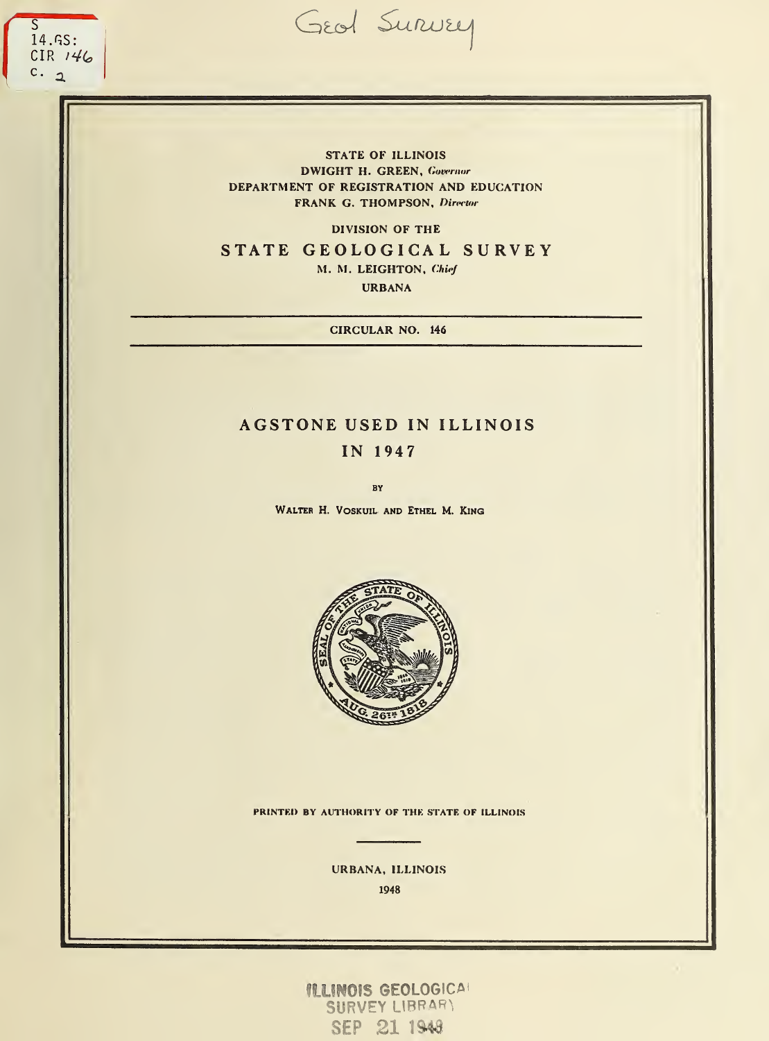

ILLINOIS GEOLOGICAi SURVEY LIBRARY SEP 21 1948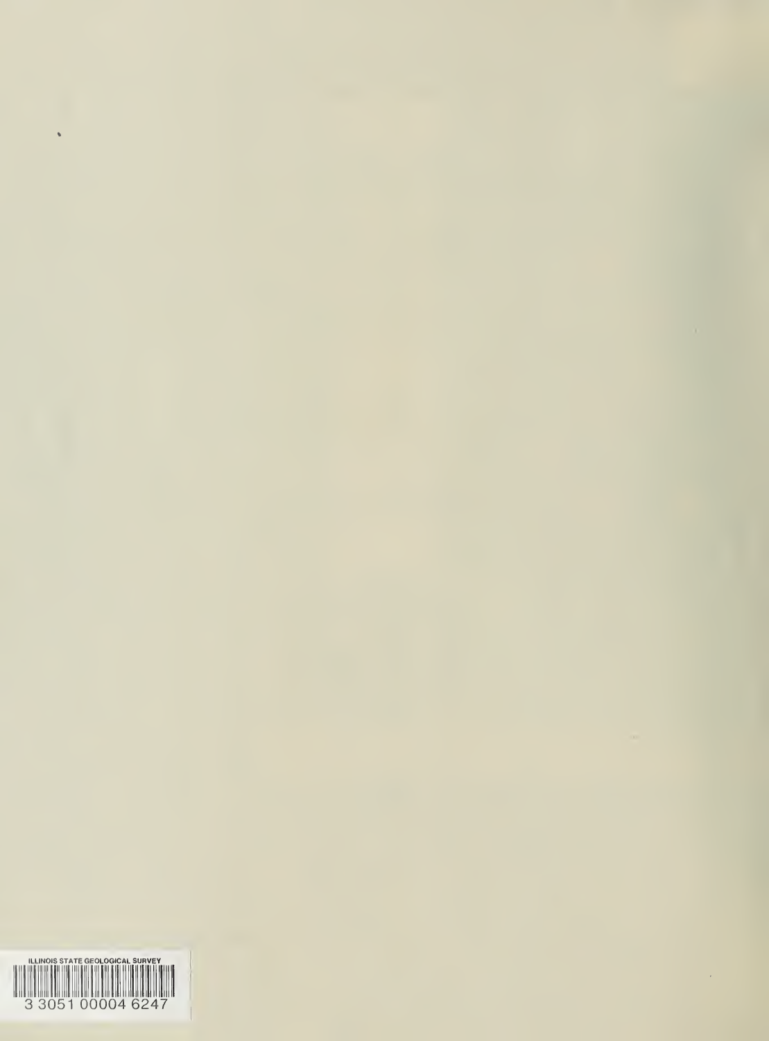

 $\ddot{\phantom{0}}$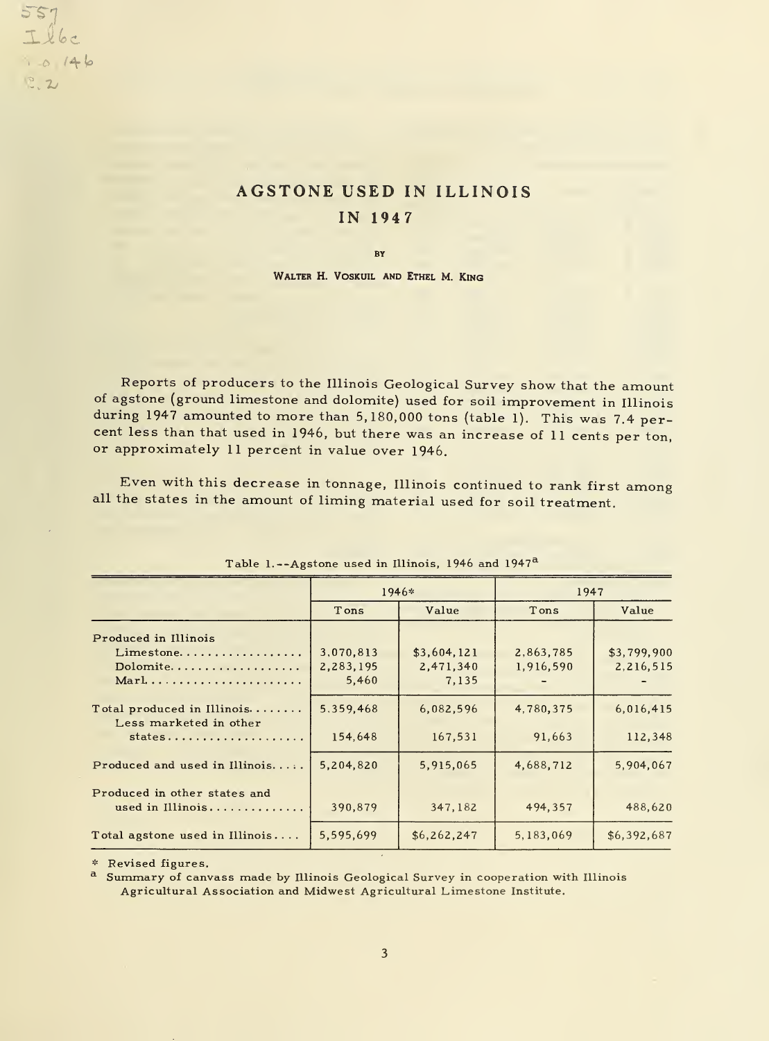

## AGSTONE USED IN ILLINOIS IN 1947

 $BY$ 

WALTER H. VOSKUIL AND ETHEL M. KING

Reports of producers to the Illinois Geological Survey show that the amount of agstone (ground limestone and dolomite) used for soil improvement in Illinois during 1947 amounted to more than 5,180,000 tons (table 1). This was 7.4 percent less than that used in 1946, but there was an increase of <sup>11</sup> cents per ton, or approximately <sup>11</sup> percent in value over 1946.

Even with this decrease in tonnage, Illinois continued to rank first among all the states in the amount of liming material used for soil treatment.

|                                                      | 1946*     |             | 1947      |             |  |
|------------------------------------------------------|-----------|-------------|-----------|-------------|--|
|                                                      | Tons      | Value       | Tons      | Value       |  |
| Produced in Illinois                                 |           |             |           |             |  |
|                                                      | 3.070.813 | \$3,604,121 | 2.863.785 | \$3,799,900 |  |
| Dolomite.                                            | 2,283,195 | 2,471,340   | 1,916,590 | 2,216,515   |  |
| MarL                                                 | 5.460     | 7.135       |           |             |  |
|                                                      |           |             |           |             |  |
| Total produced in Illinois<br>Less marketed in other | 5.359,468 | 6.082.596   | 4.780,375 | 6,016,415   |  |
| states                                               | 154,648   | 167,531     | 91,663    | 112,348     |  |
| Produced and used in Illinois                        | 5,204,820 | 5,915,065   | 4,688,712 | 5,904,067   |  |
|                                                      |           |             |           |             |  |
| Produced in other states and                         |           |             |           |             |  |
| used in Illinois                                     | 390,879   | 347,182     | 494,357   | 488,620     |  |
| Total agstone used in Illinois                       | 5,595,699 | \$6,262,247 | 5,183,069 | \$6,392,687 |  |

Table 1.--Agstone used in Illinois, 1946 and 1947<sup>a</sup>

\* Revised figures.

<sup>a</sup> Summary of canvass made by Illinois Geological Survey in cooperation with Illinois Agricultural Association and Midwest Agricultural Limestone Institute.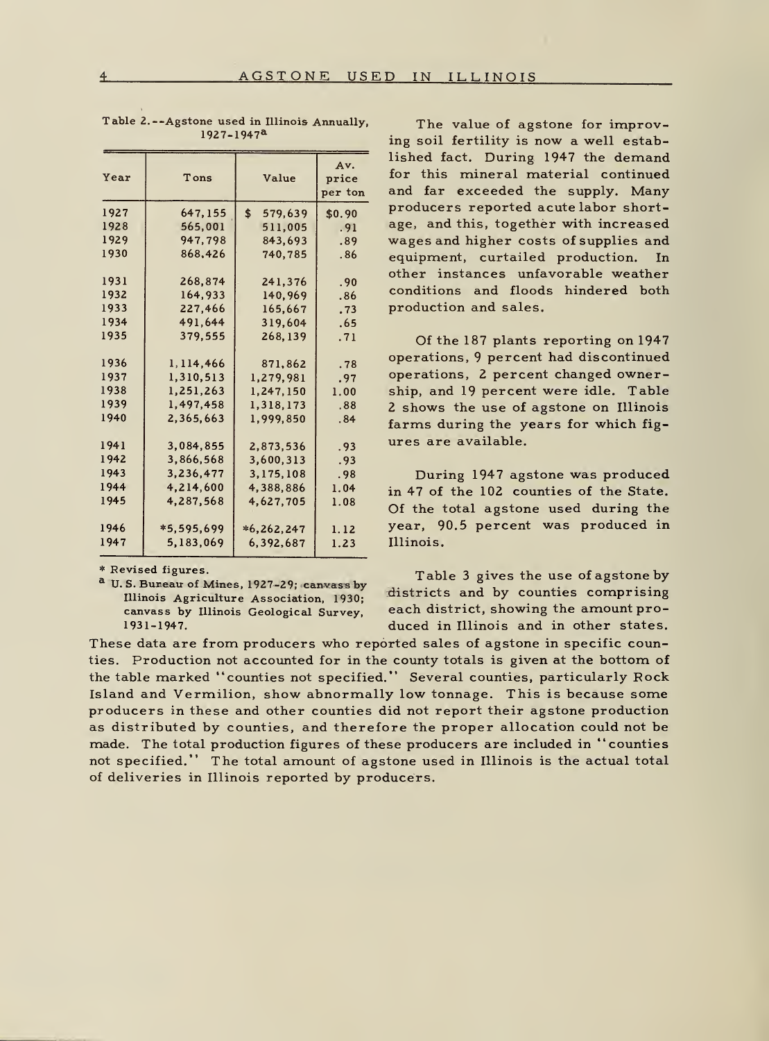| Year | Tons       | Value         | Av.<br>price<br>per ton |
|------|------------|---------------|-------------------------|
| 1927 | 647.155    | \$<br>579.639 | \$0.90                  |
| 1928 | 565,001    | 511.005       | .91                     |
| 1929 | 947.798    | 843,693       | .89                     |
| 1930 | 868,426    | 740,785       | .86                     |
| 1931 | 268.874    | 241,376       | .90                     |
| 1932 | 164,933    | 140.969       | .86                     |
| 1933 | 227.466    | 165,667       | .73                     |
| 1934 | 491.644    | 319,604       | .65                     |
| 1935 | 379,555    | 268,139       | .71                     |
| 1936 | 1.114.466  | 871,862       | .78                     |
| 1937 | 1,310,513  | 1,279.981     | .97                     |
| 1938 | 1,251,263  | 1,247,150     | 1.00                    |
| 1939 | 1,497,458  | 1,318,173     | .88                     |
| 1940 | 2,365,663  | 1,999,850     | .84                     |
| 1941 | 3.084.855  | 2,873,536     | .93                     |
| 1942 | 3,866,568  | 3,600,313     | .93                     |
| 1943 | 3,236,477  | 3,175,108     | .98                     |
| 1944 | 4,214,600  | 4.388,886     | 1.04                    |
| 1945 | 4,287,568  | 4,627,705     | 1.08                    |
| 1946 | *5,595,699 | *6,262,247    | 1.12                    |
| 1947 | 5,183,069  | 6.392.687     | 1.23                    |

Table 2.--Agstone used in Illinois Annually.  $1927 - 1947^a$ 

' Revised figures.

<sup>a</sup> U. S. Bureau of Mines, 1927-29; canvass by Illinois Agriculture Association, 1930; canvass by Illinois Geological Survey, 1931-1947.

Av. fished fact: Buring 1711 the defining per ton and far exceeded the supply. Many The value of agstone for improving soil fertility is now a well established fact. During 1947 the demand producers reported acute labor shortage, and this, together with increased wages and higher costs of supplies and equipment, curtailed production. In other instances unfavorable weather conditions and floods hindered both production and sales.

> Of the 187 plants reporting on 1947 operations, 9 percent had discontinued operations, <sup>2</sup> percent changed ownership, and 19 percent were idle. Table 2 shows the use of agstone on Illinois farms during the years for which fig ures are available.

> During 1947 agstone was produced in 47 of the 102 counties of the State. Of the total agstone used during the year, 90.5 percent was produced in Illinois.

> Table <sup>3</sup> gives the use of agstone by districts and by counties comprising each district, showing the amount produced in Illinois and in other states.

These data are from producers who reported sales of agstone in specific counties. Production not accounted for in the county totals is given at the bottom of the table marked "counties not specified." Several counties, particularly Rock Island and Vermilion, show abnormally low tonnage. This is because some producers in these and other counties did not report their agstone production as distributed by counties, and therefore the proper allocation could not be made. The total production figures of these producers are included in "counties not specified." The total amount of agstone used in Illinois is the actual total of deliveries in Illinois reported by producers.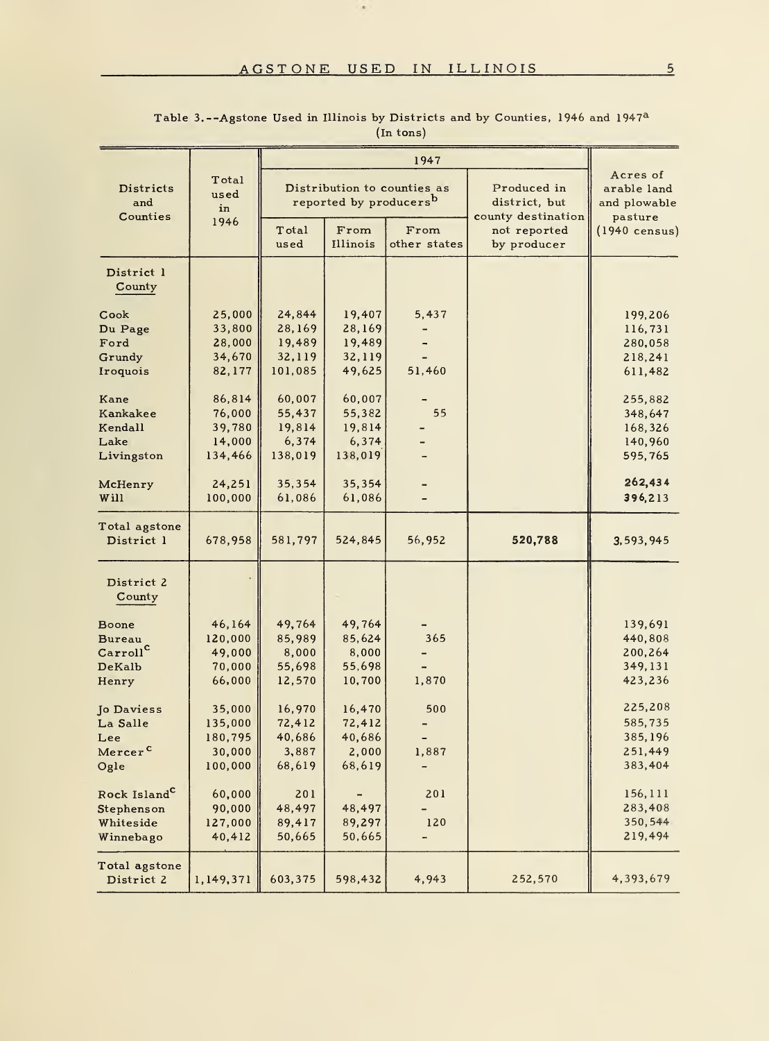$\scriptstyle\star$ 

|                                                     |           |               |                                    | 1947                        |                                                    |                                                    |  |
|-----------------------------------------------------|-----------|---------------|------------------------------------|-----------------------------|----------------------------------------------------|----------------------------------------------------|--|
| Total<br>Districts<br>used<br>and<br>in<br>Counties |           |               | reported by producers <sup>b</sup> | Distribution to counties as | Produced in<br>district, but<br>county destination | Acres of<br>arable land<br>and plowable<br>pasture |  |
|                                                     | 1946      | Total<br>used | From<br>Illinois                   | From<br>other states        | not reported<br>by producer                        | $(1940 \text{ census})$                            |  |
| District 1<br>County                                |           |               |                                    |                             |                                                    |                                                    |  |
| Cook                                                | 25,000    | 24,844        | 19,407                             | 5,437                       |                                                    | 199,206                                            |  |
| Du Page                                             | 33,800    | 28,169        | 28,169                             |                             |                                                    | 116,731                                            |  |
| Ford                                                | 28,000    | 19,489        | 19,489                             |                             |                                                    | 280,058                                            |  |
| Grundv                                              | 34,670    | 32.119        | 32,119                             |                             |                                                    | 218,241                                            |  |
| Iroquois                                            | 82,177    | 101,085       | 49,625                             | 51.460                      |                                                    | 611,482                                            |  |
| Kane                                                | 86.814    | 60.007        | 60.007                             |                             |                                                    | 255,882                                            |  |
| Kankakee                                            | 76,000    | 55,437        | 55,382                             | 55                          |                                                    | 348,647                                            |  |
| Kendall                                             | 39,780    | 19,814        | 19,814                             |                             |                                                    | 168,326                                            |  |
| Lake                                                | 14,000    | 6,374         | 6,374                              |                             |                                                    | 140,960                                            |  |
| Livingston                                          | 134,466   | 138,019       | 138,019                            |                             |                                                    | 595,765                                            |  |
| McHenry                                             | 24,251    | 35,354        | 35,354                             |                             |                                                    | 262,434                                            |  |
| Will                                                | 100,000   | 61,086        | 61,086                             |                             |                                                    | 396,213                                            |  |
| Total agstone<br>District 1                         | 678,958   | 581,797       | 524,845                            | 56,952                      | 520,788                                            | 3,593,945                                          |  |
| District 2<br>County                                |           |               |                                    |                             |                                                    |                                                    |  |
| Boone                                               | 46,164    | 49,764        | 49,764                             |                             |                                                    | 139,691                                            |  |
| Bureau                                              | 120,000   | 85,989        | 85.624                             | 365                         |                                                    | 440,808                                            |  |
| Carroll <sup>c</sup>                                | 49,000    | 8,000         | 8,000                              |                             |                                                    | 200,264                                            |  |
| DeKalb                                              | 70,000    | 55,698        | 55,698                             |                             |                                                    | 349,131                                            |  |
| Henry                                               | 66,000    | 12,570        | 10,700                             | 1,870                       |                                                    | 423,236                                            |  |
| <b>Jo Daviess</b>                                   | 35,000    | 16.970        | 16,470                             | 500                         |                                                    | 225,208                                            |  |
| La Salle                                            | 135,000   | 72,412        | 72,412                             |                             |                                                    | 585,735                                            |  |
| Lee                                                 | 180,795   | 40,686        | 40,686                             |                             |                                                    | 385,196                                            |  |
| Mercer <sup>C</sup>                                 | 30,000    | 3,887         | 2,000                              | 1.887                       |                                                    | 251,449                                            |  |
| Ogle                                                | 100,000   | 68,619        | 68,619                             |                             |                                                    | 383,404                                            |  |
| Rock Island <sup>C</sup>                            | 60,000    | 201           |                                    | 201                         |                                                    | 156,111                                            |  |
| Stephenson                                          | 90,000    | 48,497        | 48,497                             |                             |                                                    | 283,408                                            |  |
| Whiteside                                           | 127,000   | 89,417        | 89,297                             | 120                         |                                                    | 350,544                                            |  |
| Winnebago                                           | 40,412    | 50,665        | 50,665                             |                             |                                                    | 219,494                                            |  |
| Total agstone<br>District 2                         | 1,149,371 | 603,375       | 598,432                            | 4.943                       | 252,570                                            | 4,393,679                                          |  |

## Table 3.--Agstone Used in Illinois by Districts and by Counties,  $1946$  and  $1947^a$  (In tons)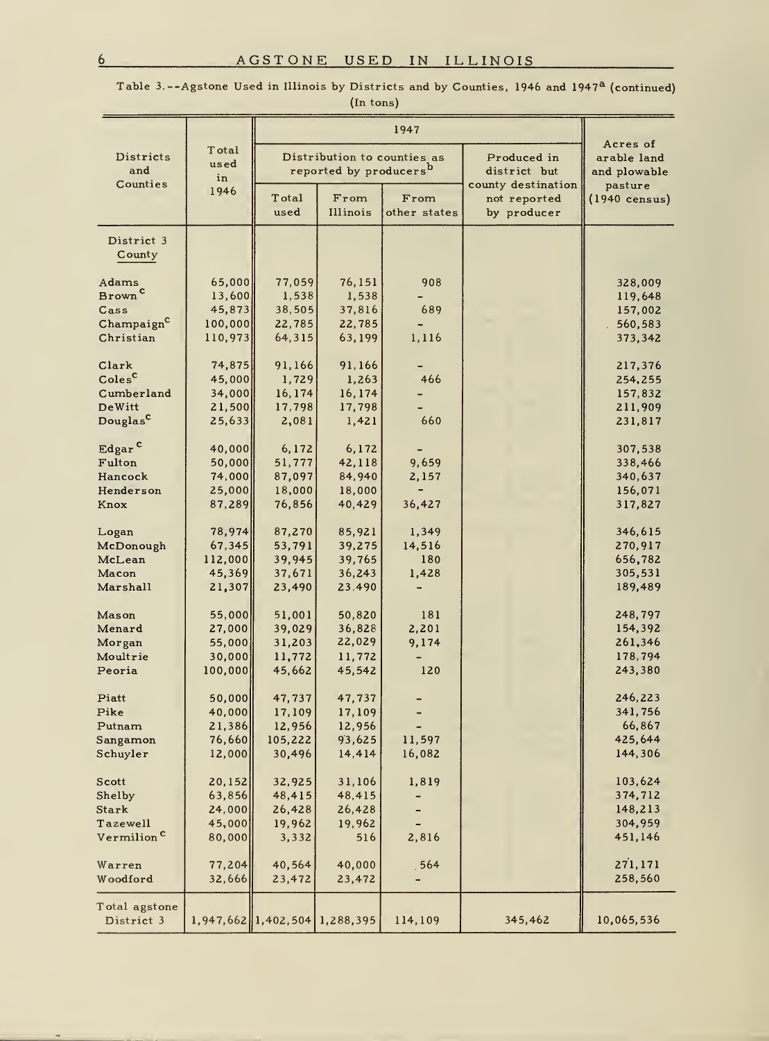|                               |                     |                  |                                                                   | 1947                 |                                                   |                                         |  |
|-------------------------------|---------------------|------------------|-------------------------------------------------------------------|----------------------|---------------------------------------------------|-----------------------------------------|--|
| Districts<br>and              | Total<br>used<br>in |                  | Distribution to counties as<br>reported by producers <sup>b</sup> |                      | Produced in<br>district but                       | Acres of<br>arable land<br>and plowable |  |
| Counties                      | 1946                | Total<br>used    | From<br>Illinois                                                  | From<br>other states | county destination<br>not reported<br>by producer | pasture<br>$(1940 \text{ census})$      |  |
| District 3<br>County          |                     |                  |                                                                   |                      |                                                   |                                         |  |
| Adams                         | 65,000              | 77,059           | 76,151                                                            | 908                  |                                                   | 328,009                                 |  |
| Brown <sup>c</sup>            | 13,600              | 1,538            | 1,538                                                             |                      |                                                   | 119,648                                 |  |
| Cass                          | 45,873              | 38,505           | 37,816                                                            | 689                  |                                                   | 157,002                                 |  |
| Champaign <sup>C</sup>        | 100,000             | 22,785           | 22,785                                                            |                      |                                                   | 560,583                                 |  |
| Christian                     | 110,973             | 64,315           | 63,199                                                            | 1,116                |                                                   | 373, 342                                |  |
| Clark                         | 74.875              | 91.166           | 91.166                                                            |                      |                                                   | 217,376                                 |  |
| $\mathsf{Coles}^{\mathsf{C}}$ | 45,000              | 1,729            | 1,263                                                             | 466                  |                                                   | 254,255                                 |  |
| Cumberland                    | 34,000              | 16,174           | 16,174                                                            |                      |                                                   | 157,832                                 |  |
| DeWitt                        | 21,500              | 17,798           | 17,798                                                            |                      |                                                   | 211,909                                 |  |
| Douglas <sup>C</sup>          | 25,633              | 2,081            | 1,421                                                             | 660                  |                                                   | 231,817                                 |  |
| Edgar <sup>c</sup>            | 40,000              | 6,172            | 6,172                                                             |                      |                                                   | 307,538                                 |  |
| Fulton                        | 50,000              | 51,777           | 42,118                                                            | 9,659                |                                                   | 338,466                                 |  |
| Hancock                       | 74,000              | 87,097           | 84,940                                                            | 2,157                |                                                   | 340,637                                 |  |
| Henderson                     | 25,000              | 18,000           | 18,000                                                            |                      |                                                   | 156,071                                 |  |
| Knox                          | 87,289              | 76,856           | 40,429                                                            | 36,427               |                                                   | 317,827                                 |  |
|                               |                     |                  |                                                                   |                      |                                                   |                                         |  |
| Logan                         | 78,974              | 87,270           | 85,921                                                            | 1,349                |                                                   | 346,615                                 |  |
| McDonough                     | 67,345              | 53,791           | 39,275                                                            | 14,516               |                                                   | 270,917                                 |  |
| McLean                        | 112,000             | 39,945           | 39,765                                                            | 180                  |                                                   | 656,782                                 |  |
| Macon<br>Marshall             | 45,369<br>21,307    | 37,671<br>23,490 | 36,243<br>23,490                                                  | 1,428                |                                                   | 305,531<br>189,489                      |  |
|                               |                     |                  |                                                                   |                      |                                                   |                                         |  |
| Mason                         | 55,000              | 51,001           | 50,820                                                            | 181                  |                                                   | 248,797                                 |  |
| Menard                        | 27,000              | 39,029           | 36,828                                                            | 2,201                |                                                   | 154,392                                 |  |
| Morgan                        | 55,000              | 31,203           | 22,029                                                            | 9,174                |                                                   | 261,346                                 |  |
| Moultrie                      | 30,000              | 11,772           | 11,772                                                            |                      |                                                   | 178,794                                 |  |
| Peoria                        | 100,000             | 45,662           | 45,542                                                            | 120                  |                                                   | 243,380                                 |  |
| Piatt                         | 50,000              | 47,737           | 47,737                                                            |                      |                                                   | 246,223                                 |  |
| Pike                          | 40,000              | 17,109           | 17,109                                                            |                      |                                                   | 341,756                                 |  |
| Putnam                        | 21,386              | 12,956           | 12,956                                                            |                      |                                                   | 66,867                                  |  |
| Sangamon                      | 76,660              | 105,222          | 93,625                                                            | 11,597               |                                                   | 425,644                                 |  |
| Schuyler                      | 12,000              | 30,496           | 14,414                                                            | 16,082               |                                                   | 144,306                                 |  |
| Scott                         | 20,152              | 32,925           | 31,106                                                            | 1,819                |                                                   | 103,624                                 |  |
| Shelby                        | 63,856              | 48,415           | 48,415                                                            |                      |                                                   | 374,712                                 |  |
| Stark                         | 24,000              | 26,428           | 26,428                                                            | $\overline{a}$       |                                                   | 148,213                                 |  |
| Tazewell                      | 45,000              | 19,962           | 19,962                                                            |                      |                                                   | 304,959                                 |  |
| Vermilion <sup>c</sup>        | 80,000              | 3,332            | 516                                                               | 2,816                |                                                   | 451,146                                 |  |
|                               |                     |                  |                                                                   |                      |                                                   |                                         |  |
| Warren                        | 77,204              | 40,564           | 40,000                                                            | .564                 |                                                   | 271,171                                 |  |
| Woodford                      | 32,666              | 23,472           | 23,472                                                            |                      |                                                   | 258,560                                 |  |
| Total agstone                 |                     |                  |                                                                   |                      |                                                   |                                         |  |
| District 3                    |                     |                  | 1,947,662 1,402,504 1,288,395                                     | 114,109              | 345,462                                           | 10,065,536                              |  |

Table 3.--Agstone Used in Illinois by Districts and by Counties, 1946 and 1947<sup>a</sup> (continued) (In tons)

 $\sim$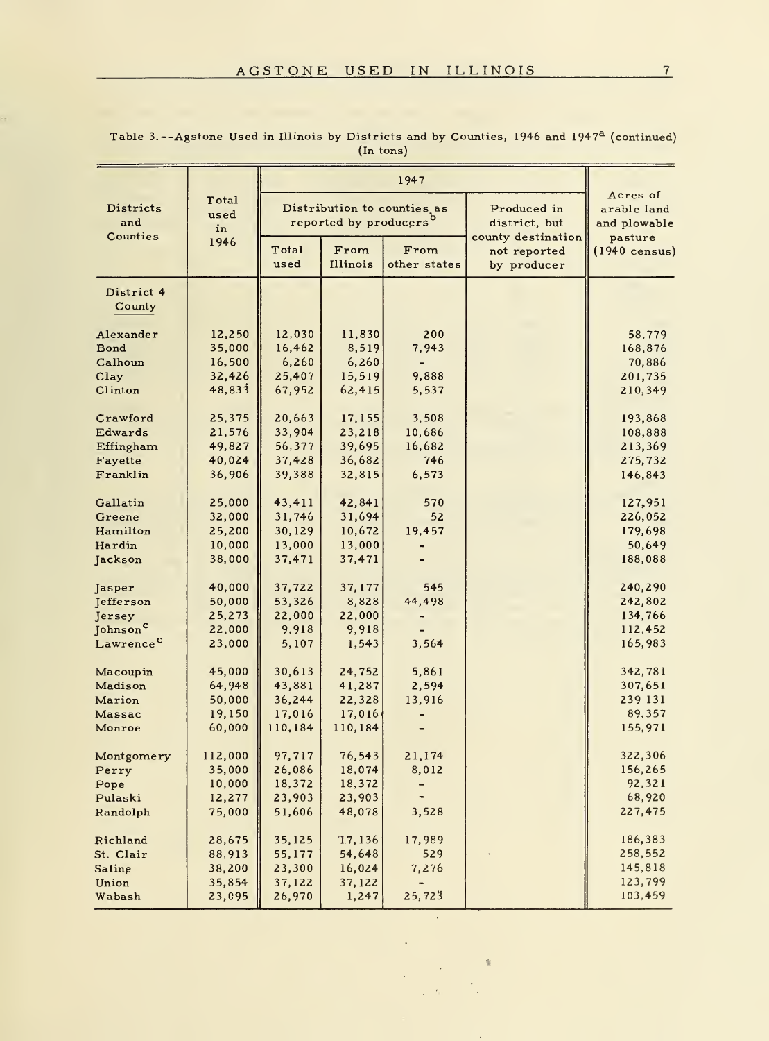| <b>Districts</b><br>and | Total<br>used<br>in | Distribution to counties as<br>reported by producers <sup>t</sup> |                  |                      | Produced in<br>district, but                      | Acres of<br>arable land<br>and plowable |  |
|-------------------------|---------------------|-------------------------------------------------------------------|------------------|----------------------|---------------------------------------------------|-----------------------------------------|--|
| Counties                | 1946                | Total<br>used                                                     | From<br>Illinois | From<br>other states | county destination<br>not reported<br>by producer | pasture<br>$(1940 \text{ census})$      |  |
| District 4<br>County    |                     |                                                                   |                  |                      |                                                   |                                         |  |
| Alexander               | 12,250              | 12.030                                                            | 11,830           | 200                  |                                                   | 58,779                                  |  |
| Bond                    | 35,000              | 16,462                                                            | 8,519            | 7,943                |                                                   | 168,876                                 |  |
| Calhoun                 | 16,500              | 6,260                                                             | 6,260            |                      |                                                   | 70,886                                  |  |
| Clay                    | 32,426              | 25,407                                                            | 15,519           | 9.888                |                                                   | 201,735                                 |  |
| Clinton                 | 48,833              | 67,952                                                            | 62,415           | 5,537                |                                                   | 210,349                                 |  |
| Crawford                | 25,375              | 20,663                                                            | 17,155           | 3,508                |                                                   | 193,868                                 |  |
| Edwards                 | 21,576              | 33,904                                                            | 23,218           | 10.686               |                                                   | 108,888                                 |  |
| Effingham               | 49,827              | 56.377                                                            | 39,695           | 16,682               |                                                   | 213,369                                 |  |
| Fayette                 | 40,024              | 37,428                                                            | 36,682           | 746                  |                                                   | 275,732                                 |  |
| Franklin                | 36,906              | 39,388                                                            | 32.815           | 6,573                |                                                   | 146,843                                 |  |
| Gallatin                | 25,000              | 43,411                                                            | 42,841           | 570                  |                                                   | 127,951                                 |  |
| Greene                  | 32,000              | 31.746                                                            | 31.694           | 52                   |                                                   | 226.052                                 |  |
| Hamilton                | 25,200              | 30,129                                                            | 10,672           | 19,457               |                                                   | 179,698                                 |  |
| Hardin                  | 10,000              | 13,000                                                            | 13,000           |                      |                                                   | 50,649                                  |  |
| Jackson                 | 38,000              | 37,471                                                            | 37,471           |                      |                                                   | 188,088                                 |  |
| Jasper                  | 40,000              | 37,722                                                            | 37,177           | 545                  |                                                   | 240,290                                 |  |
| <i><b>Jefferson</b></i> | 50,000              | 53,326                                                            | 8,828            | 44,498               |                                                   | 242,802                                 |  |
| Jersey                  | 25,273              | 22,000                                                            | 22,000           |                      |                                                   | 134,766                                 |  |
| Johnson <sup>C</sup>    | 22,000              | 9.918                                                             | 9.918            |                      |                                                   | 112,452                                 |  |
| Lawrence <sup>c</sup>   | 23,000              | 5,107                                                             | 1,543            | 3,564                |                                                   | 165,983                                 |  |
| Macoupin                | 45,000              | 30,613                                                            | 24.752           | 5,861                |                                                   | 342,781                                 |  |
| Madison                 | 64,948              | 43,881                                                            | 41,287           | 2,594                |                                                   | 307,651                                 |  |
| Marion                  | 50,000              | 36,244                                                            | 22,328           | 13,916               |                                                   | 239 131                                 |  |
| Massac                  | 19,150              | 17,016                                                            | 17,016           |                      |                                                   | 89,357                                  |  |
| Monroe                  | 60,000              | 110,184                                                           | 110,184          |                      |                                                   | 155,971                                 |  |
| Montgomery              | 112,000             | 97.717                                                            | 76.543           | 21,174               |                                                   | 322,306                                 |  |
| Perry                   | 35,000              | 26,086                                                            | 18,074           | 8,012                |                                                   | 156,265                                 |  |
| Pope                    | 10,000              | 18,372                                                            | 18,372           |                      |                                                   | 92,321                                  |  |
| Pulaski                 | 12,277              | 23,903                                                            | 23,903           |                      |                                                   | 68,920                                  |  |
| Randolph                | 75,000              | 51,606                                                            | 48,078           | 3,528                |                                                   | 227,475                                 |  |
| Richland                | 28,675              | 35,125                                                            | 17.136           | 17.989               |                                                   | 186,383                                 |  |
| St. Clair               | 88,913              | 55,177                                                            | 54,648           | 529                  |                                                   | 258,552                                 |  |
| Saline                  | 38,200              | 23,300                                                            | 16,024           | 7,276                |                                                   | 145,818                                 |  |
| Union                   | 35,854              | 37,122                                                            | 37,122           |                      |                                                   | 123,799                                 |  |
| Wabash                  | 23,095              | 26,970                                                            | 1,247            | 25,723               |                                                   | 103,459                                 |  |

Table 3.--Agstone Used in Illinois by Districts and by Counties, 1946 and 1947<sup>a</sup> (continued) (In tons)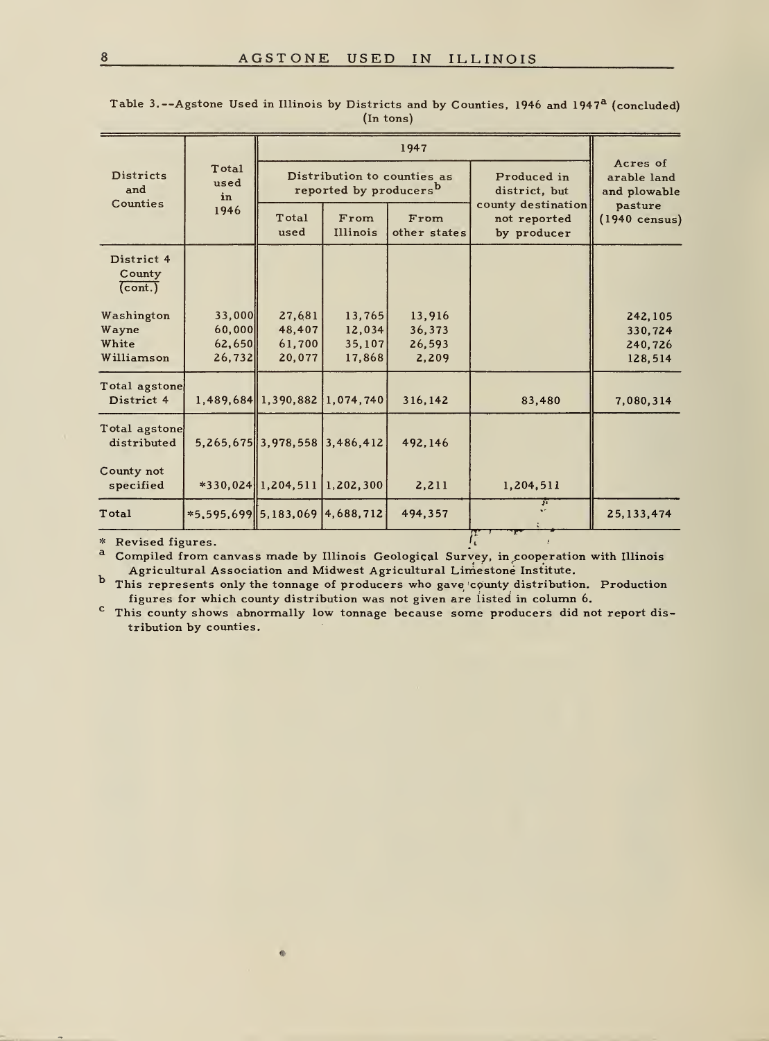|                                          | Total<br>used<br>in<br>1946          |                                                                   |                  |                      |                                                   |                                         |
|------------------------------------------|--------------------------------------|-------------------------------------------------------------------|------------------|----------------------|---------------------------------------------------|-----------------------------------------|
| <b>Districts</b><br>and<br>Counties      |                                      | Distribution to counties as<br>reported by producers <sup>b</sup> |                  |                      | Produced in<br>district, but                      | Acres of<br>arable land<br>and plowable |
|                                          |                                      | Total<br>used                                                     | From<br>Illinois | From<br>other states | county destination<br>not reported<br>by producer | pasture<br>$(1940 \text{ census})$      |
| District 4<br>County<br>$(\text{cont.})$ |                                      |                                                                   |                  |                      |                                                   |                                         |
| Washington                               | 33,000                               | 27,681                                                            | 13,765           | 13,916               |                                                   | 242,105                                 |
| Wayne                                    | 60,000                               | 48,407                                                            | 12.034           | 36.373               |                                                   | 330,724                                 |
| White                                    | 62,650                               | 61,700                                                            | 35,107           | 26,593               |                                                   | 240,726                                 |
| Williamson                               | 26,732                               | 20,077                                                            | 17,868           | 2.209                |                                                   | 128,514                                 |
| Total agstone                            |                                      |                                                                   |                  |                      |                                                   |                                         |
| District 4                               |                                      | 1,489,684 1,390,882                                               | 1,074,740        | 316,142              | 83,480                                            | 7,080,314                               |
| Total agstone<br>distributed             |                                      | 5,265,675 3,978,558                                               | 3,486,412        | 492.146              |                                                   |                                         |
| County not<br>specified                  |                                      | *330,024 1,204,511                                                | 1.202.300        | 2,211                | 1,204,511                                         |                                         |
| Total                                    | $*5,595,699$ 5, 183, 069 4, 688, 712 |                                                                   |                  | 494,357              |                                                   | 25, 133, 474                            |

Table 3.--Agstone Used in Illinois by Districts and by Counties, 1946 and 1947<sup>a</sup> (concluded) (In tons)

\* Revised figures.<br><sup>a</sup> Compiled from canvass made by Illinois Geological Survey, in cooperation with Illinois<br>Agricultural Association and Midwest Agricultural Limestone Institute.

b This represents only the tonnage of producers who gave county distribution. Production figures for which county distribution was not given are listed in column 6.<br><sup>c</sup> This county shows abnormally low tonnage because some producers did not report dis-

tribution by counties.

è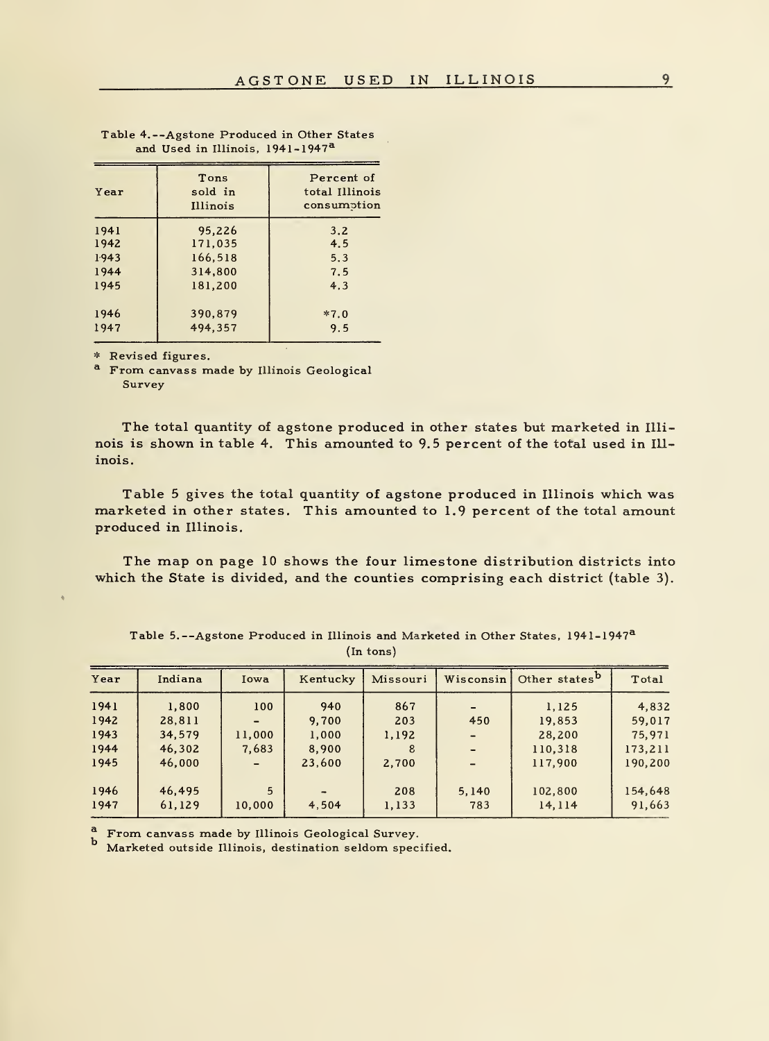| Year  | Tons<br>sold in<br>Illinois | Percent of<br>total Illinois<br>consumption |
|-------|-----------------------------|---------------------------------------------|
| 1941  | 95.226                      | 3.2                                         |
| 1942  | 171,035                     | 4.5                                         |
| 1.943 | 166,518                     | 5.3                                         |
| 1944  | 314,800                     | 7.5                                         |
| 1945  | 181,200                     | 4.3                                         |
| 1946  | 390,879                     | $*7.0$                                      |
| 1947  | 494,357                     | 9.5                                         |

## Table 4.--Agstone Produced in Other States and Used in Illinois, 1941-1947<sup>a</sup>

Revised figures

Survey a From canvass made by Illinois Geological

The total quantity of agstone produced in other states but marketed in Illi nois is shown in table 4. This amounted to9.5 percent of the total used in Ill inois.

Table 5 gives the total quantity of agstone produced in Illinois which was marketed in other states. This amounted to 1.9 percent of the total amount produced in Illinois.

The map on page <sup>10</sup> shows the four limestone distribution districts into which the State is divided, and the counties comprising each district (table 3).

| Year | Indiana | <b>Towa</b>              | Kentucky | Missouri |                          | Wisconsin Other statesb | Total   |
|------|---------|--------------------------|----------|----------|--------------------------|-------------------------|---------|
| 1941 | 1.800   | 100                      | 940      | 867      | -                        | 1.125                   | 4.832   |
| 1942 | 28,811  | -                        | 9,700    | 203      | 450                      | 19,853                  | 59,017  |
| 1943 | 34,579  | 11,000                   | 1,000    | 1.192    | $\overline{\phantom{a}}$ | 28,200                  | 75,971  |
| 1944 | 46,302  | 7,683                    | 8,900    |          | $\overline{\phantom{a}}$ | 110,318                 | 173,211 |
| 1945 | 46.000  | $\overline{\phantom{0}}$ | 23.600   | 2,700    | $\overline{\phantom{a}}$ | 117,900                 | 190,200 |
| 1946 | 46,495  | 5                        |          | 208      | 5.140                    | 102,800                 | 154,648 |
| 1947 | 61,129  | 10,000                   | 4,504    | 1.133    | 783                      | 14,114                  | 91,663  |

Table 5.--Agstone Produced in Illinois and Marketed in Other States, 1941-1947<sup>a</sup> (In tons)

<sup>a</sup> From canvass made by Illinois Geological Survey.

b Marketed outside Illinois, destination seldom specified.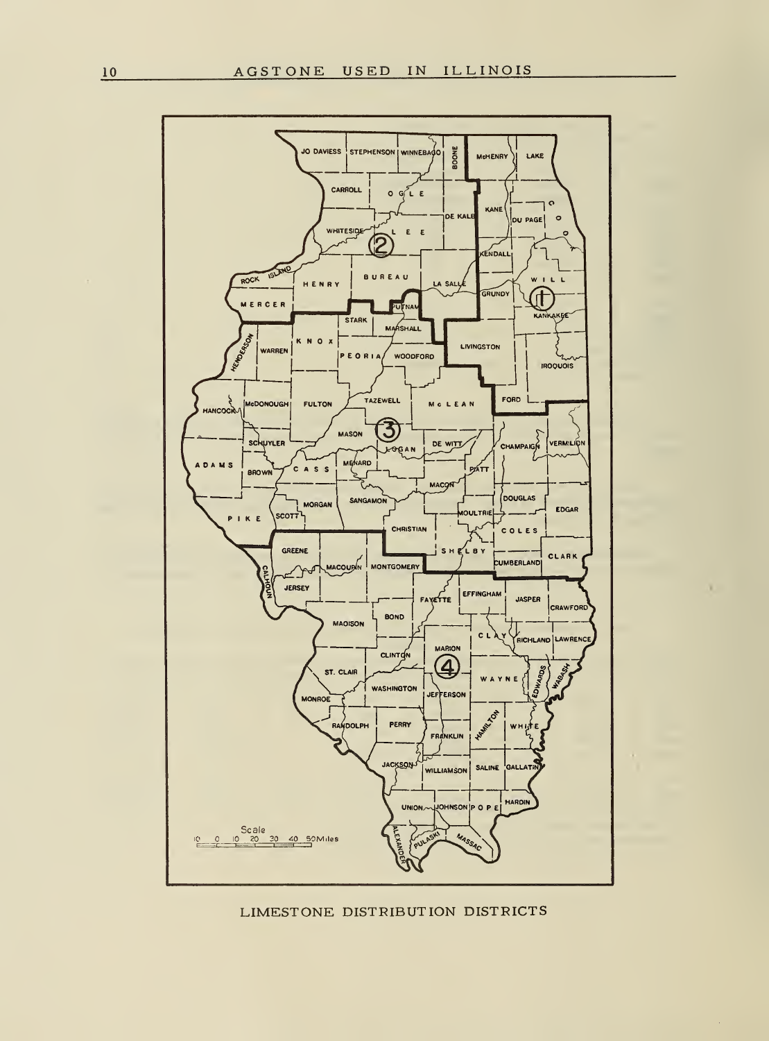

LIMESTONE DISTRIBUTION DISTRICTS